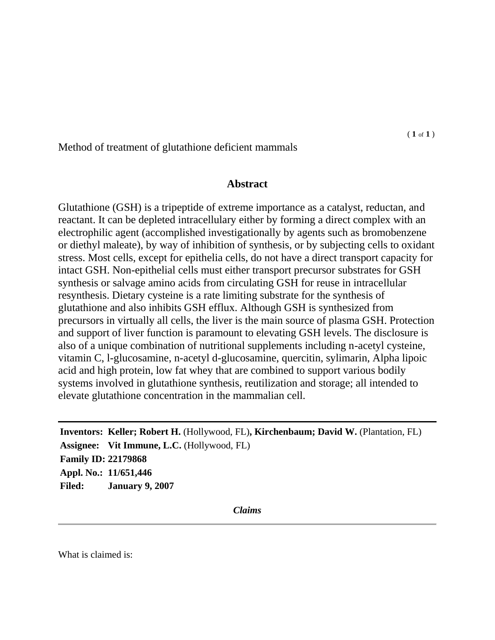Method of treatment of glutathione deficient mammals

## **Abstract**

Glutathione (GSH) is a tripeptide of extreme importance as a catalyst, reductan, and reactant. It can be depleted intracellulary either by forming a direct complex with an electrophilic agent (accomplished investigationally by agents such as bromobenzene or diethyl maleate), by way of inhibition of synthesis, or by subjecting cells to oxidant stress. Most cells, except for epithelia cells, do not have a direct transport capacity for intact GSH. Non-epithelial cells must either transport precursor substrates for GSH synthesis or salvage amino acids from circulating GSH for reuse in intracellular resynthesis. Dietary cysteine is a rate limiting substrate for the synthesis of glutathione and also inhibits GSH efflux. Although GSH is synthesized from precursors in virtually all cells, the liver is the main source of plasma GSH. Protection and support of liver function is paramount to elevating GSH levels. The disclosure is also of a unique combination of nutritional supplements including n-acetyl cysteine, vitamin C, l-glucosamine, n-acetyl d-glucosamine, quercitin, sylimarin, Alpha lipoic acid and high protein, low fat whey that are combined to support various bodily systems involved in glutathione synthesis, reutilization and storage; all intended to elevate glutathione concentration in the mammalian cell.

**Inventors: Keller; Robert H.** (Hollywood, FL)**, Kirchenbaum; David W.** (Plantation, FL) **Assignee: Vit Immune, L.C.** (Hollywood, FL) **Family ID: 22179868 Appl. No.: 11/651,446 Filed: January 9, 2007**

*Claims*

What is claimed is: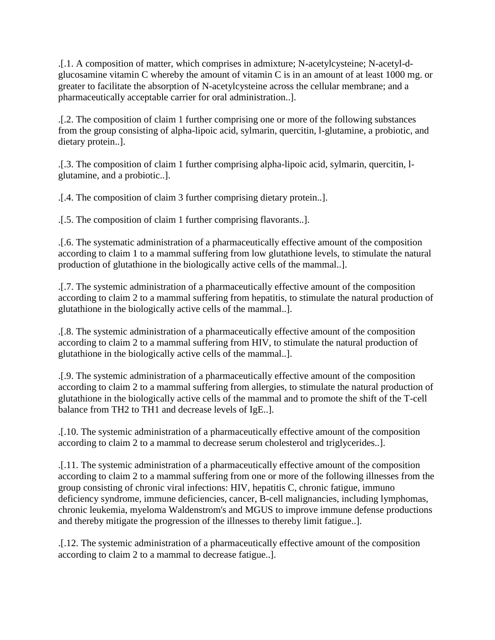.[.1. A composition of matter, which comprises in admixture; N-acetylcysteine; N-acetyl-dglucosamine vitamin C whereby the amount of vitamin C is in an amount of at least 1000 mg. or greater to facilitate the absorption of N-acetylcysteine across the cellular membrane; and a pharmaceutically acceptable carrier for oral administration..].

.[.2. The composition of claim 1 further comprising one or more of the following substances from the group consisting of alpha-lipoic acid, sylmarin, quercitin, l-glutamine, a probiotic, and dietary protein..].

.[.3. The composition of claim 1 further comprising alpha-lipoic acid, sylmarin, quercitin, lglutamine, and a probiotic..].

.[.4. The composition of claim 3 further comprising dietary protein..].

.[.5. The composition of claim 1 further comprising flavorants..].

.[.6. The systematic administration of a pharmaceutically effective amount of the composition according to claim 1 to a mammal suffering from low glutathione levels, to stimulate the natural production of glutathione in the biologically active cells of the mammal..].

.[.7. The systemic administration of a pharmaceutically effective amount of the composition according to claim 2 to a mammal suffering from hepatitis, to stimulate the natural production of glutathione in the biologically active cells of the mammal..].

.[.8. The systemic administration of a pharmaceutically effective amount of the composition according to claim 2 to a mammal suffering from HIV, to stimulate the natural production of glutathione in the biologically active cells of the mammal..].

.[.9. The systemic administration of a pharmaceutically effective amount of the composition according to claim 2 to a mammal suffering from allergies, to stimulate the natural production of glutathione in the biologically active cells of the mammal and to promote the shift of the T-cell balance from TH2 to TH1 and decrease levels of IgE..].

.[.10. The systemic administration of a pharmaceutically effective amount of the composition according to claim 2 to a mammal to decrease serum cholesterol and triglycerides..].

.[.11. The systemic administration of a pharmaceutically effective amount of the composition according to claim 2 to a mammal suffering from one or more of the following illnesses from the group consisting of chronic viral infections: HIV, hepatitis C, chronic fatigue, immuno deficiency syndrome, immune deficiencies, cancer, B-cell malignancies, including lymphomas, chronic leukemia, myeloma Waldenstrom's and MGUS to improve immune defense productions and thereby mitigate the progression of the illnesses to thereby limit fatigue..].

.[.12. The systemic administration of a pharmaceutically effective amount of the composition according to claim 2 to a mammal to decrease fatigue..].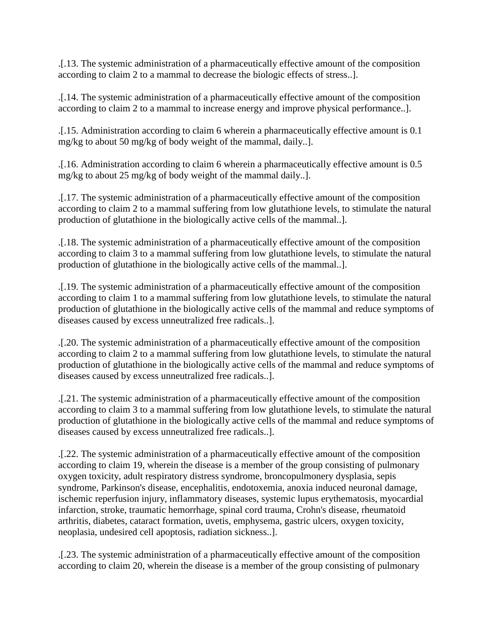.[.13. The systemic administration of a pharmaceutically effective amount of the composition according to claim 2 to a mammal to decrease the biologic effects of stress..].

.[.14. The systemic administration of a pharmaceutically effective amount of the composition according to claim 2 to a mammal to increase energy and improve physical performance..].

.[.15. Administration according to claim 6 wherein a pharmaceutically effective amount is 0.1 mg/kg to about 50 mg/kg of body weight of the mammal, daily..].

.[.16. Administration according to claim 6 wherein a pharmaceutically effective amount is 0.5 mg/kg to about 25 mg/kg of body weight of the mammal daily..].

.[.17. The systemic administration of a pharmaceutically effective amount of the composition according to claim 2 to a mammal suffering from low glutathione levels, to stimulate the natural production of glutathione in the biologically active cells of the mammal..].

.[.18. The systemic administration of a pharmaceutically effective amount of the composition according to claim 3 to a mammal suffering from low glutathione levels, to stimulate the natural production of glutathione in the biologically active cells of the mammal..].

.[.19. The systemic administration of a pharmaceutically effective amount of the composition according to claim 1 to a mammal suffering from low glutathione levels, to stimulate the natural production of glutathione in the biologically active cells of the mammal and reduce symptoms of diseases caused by excess unneutralized free radicals..].

.[.20. The systemic administration of a pharmaceutically effective amount of the composition according to claim 2 to a mammal suffering from low glutathione levels, to stimulate the natural production of glutathione in the biologically active cells of the mammal and reduce symptoms of diseases caused by excess unneutralized free radicals..].

.[.21. The systemic administration of a pharmaceutically effective amount of the composition according to claim 3 to a mammal suffering from low glutathione levels, to stimulate the natural production of glutathione in the biologically active cells of the mammal and reduce symptoms of diseases caused by excess unneutralized free radicals..].

.[.22. The systemic administration of a pharmaceutically effective amount of the composition according to claim 19, wherein the disease is a member of the group consisting of pulmonary oxygen toxicity, adult respiratory distress syndrome, broncopulmonery dysplasia, sepis syndrome, Parkinson's disease, encephalitis, endotoxemia, anoxia induced neuronal damage, ischemic reperfusion injury, inflammatory diseases, systemic lupus erythematosis, myocardial infarction, stroke, traumatic hemorrhage, spinal cord trauma, Crohn's disease, rheumatoid arthritis, diabetes, cataract formation, uvetis, emphysema, gastric ulcers, oxygen toxicity, neoplasia, undesired cell apoptosis, radiation sickness..].

.[.23. The systemic administration of a pharmaceutically effective amount of the composition according to claim 20, wherein the disease is a member of the group consisting of pulmonary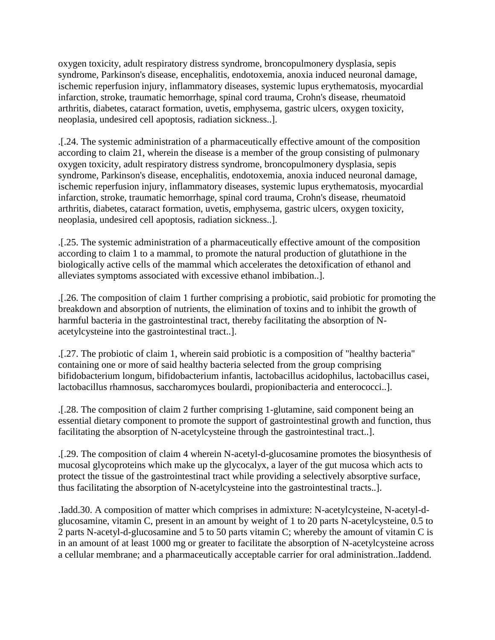oxygen toxicity, adult respiratory distress syndrome, broncopulmonery dysplasia, sepis syndrome, Parkinson's disease, encephalitis, endotoxemia, anoxia induced neuronal damage, ischemic reperfusion injury, inflammatory diseases, systemic lupus erythematosis, myocardial infarction, stroke, traumatic hemorrhage, spinal cord trauma, Crohn's disease, rheumatoid arthritis, diabetes, cataract formation, uvetis, emphysema, gastric ulcers, oxygen toxicity, neoplasia, undesired cell apoptosis, radiation sickness..].

.[.24. The systemic administration of a pharmaceutically effective amount of the composition according to claim 21, wherein the disease is a member of the group consisting of pulmonary oxygen toxicity, adult respiratory distress syndrome, broncopulmonery dysplasia, sepis syndrome, Parkinson's disease, encephalitis, endotoxemia, anoxia induced neuronal damage, ischemic reperfusion injury, inflammatory diseases, systemic lupus erythematosis, myocardial infarction, stroke, traumatic hemorrhage, spinal cord trauma, Crohn's disease, rheumatoid arthritis, diabetes, cataract formation, uvetis, emphysema, gastric ulcers, oxygen toxicity, neoplasia, undesired cell apoptosis, radiation sickness..].

.[.25. The systemic administration of a pharmaceutically effective amount of the composition according to claim 1 to a mammal, to promote the natural production of glutathione in the biologically active cells of the mammal which accelerates the detoxification of ethanol and alleviates symptoms associated with excessive ethanol imbibation..].

.[.26. The composition of claim 1 further comprising a probiotic, said probiotic for promoting the breakdown and absorption of nutrients, the elimination of toxins and to inhibit the growth of harmful bacteria in the gastrointestinal tract, thereby facilitating the absorption of Nacetylcysteine into the gastrointestinal tract..].

.[.27. The probiotic of claim 1, wherein said probiotic is a composition of "healthy bacteria" containing one or more of said healthy bacteria selected from the group comprising bifidobacterium longum, bifidobacterium infantis, lactobacillus acidophilus, lactobacillus casei, lactobacillus rhamnosus, saccharomyces boulardi, propionibacteria and enterococci..].

.[.28. The composition of claim 2 further comprising 1-glutamine, said component being an essential dietary component to promote the support of gastrointestinal growth and function, thus facilitating the absorption of N-acetylcysteine through the gastrointestinal tract..].

.[.29. The composition of claim 4 wherein N-acetyl-d-glucosamine promotes the biosynthesis of mucosal glycoproteins which make up the glycocalyx, a layer of the gut mucosa which acts to protect the tissue of the gastrointestinal tract while providing a selectively absorptive surface, thus facilitating the absorption of N-acetylcysteine into the gastrointestinal tracts..].

.Iadd.30. A composition of matter which comprises in admixture: N-acetylcysteine, N-acetyl-dglucosamine, vitamin C, present in an amount by weight of 1 to 20 parts N-acetylcysteine, 0.5 to 2 parts N-acetyl-d-glucosamine and 5 to 50 parts vitamin C; whereby the amount of vitamin C is in an amount of at least 1000 mg or greater to facilitate the absorption of N-acetylcysteine across a cellular membrane; and a pharmaceutically acceptable carrier for oral administration..Iaddend.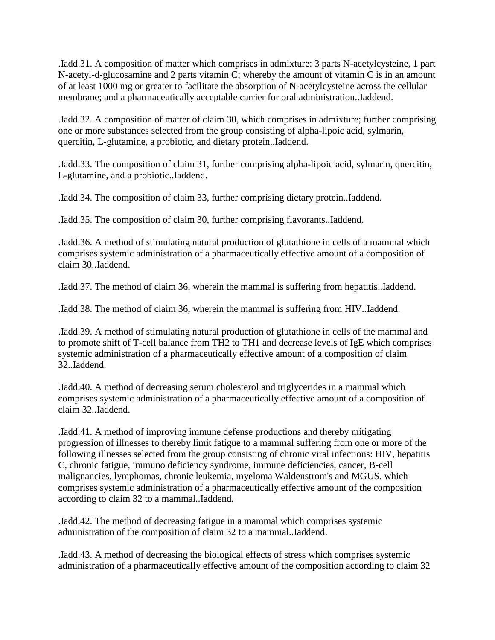.Iadd.31. A composition of matter which comprises in admixture: 3 parts N-acetylcysteine, 1 part N-acetyl-d-glucosamine and 2 parts vitamin C; whereby the amount of vitamin C is in an amount of at least 1000 mg or greater to facilitate the absorption of N-acetylcysteine across the cellular membrane; and a pharmaceutically acceptable carrier for oral administration..Iaddend.

.Iadd.32. A composition of matter of claim 30, which comprises in admixture; further comprising one or more substances selected from the group consisting of alpha-lipoic acid, sylmarin, quercitin, L-glutamine, a probiotic, and dietary protein..Iaddend.

.Iadd.33. The composition of claim 31, further comprising alpha-lipoic acid, sylmarin, quercitin, L-glutamine, and a probiotic..Iaddend.

.Iadd.34. The composition of claim 33, further comprising dietary protein..Iaddend.

.Iadd.35. The composition of claim 30, further comprising flavorants..Iaddend.

.Iadd.36. A method of stimulating natural production of glutathione in cells of a mammal which comprises systemic administration of a pharmaceutically effective amount of a composition of claim 30..Iaddend.

.Iadd.37. The method of claim 36, wherein the mammal is suffering from hepatitis..Iaddend.

.Iadd.38. The method of claim 36, wherein the mammal is suffering from HIV..Iaddend.

.Iadd.39. A method of stimulating natural production of glutathione in cells of the mammal and to promote shift of T-cell balance from TH2 to TH1 and decrease levels of IgE which comprises systemic administration of a pharmaceutically effective amount of a composition of claim 32..Iaddend.

.Iadd.40. A method of decreasing serum cholesterol and triglycerides in a mammal which comprises systemic administration of a pharmaceutically effective amount of a composition of claim 32..Iaddend.

.Iadd.41. A method of improving immune defense productions and thereby mitigating progression of illnesses to thereby limit fatigue to a mammal suffering from one or more of the following illnesses selected from the group consisting of chronic viral infections: HIV, hepatitis C, chronic fatigue, immuno deficiency syndrome, immune deficiencies, cancer, B-cell malignancies, lymphomas, chronic leukemia, myeloma Waldenstrom's and MGUS, which comprises systemic administration of a pharmaceutically effective amount of the composition according to claim 32 to a mammal..Iaddend.

.Iadd.42. The method of decreasing fatigue in a mammal which comprises systemic administration of the composition of claim 32 to a mammal..Iaddend.

.Iadd.43. A method of decreasing the biological effects of stress which comprises systemic administration of a pharmaceutically effective amount of the composition according to claim 32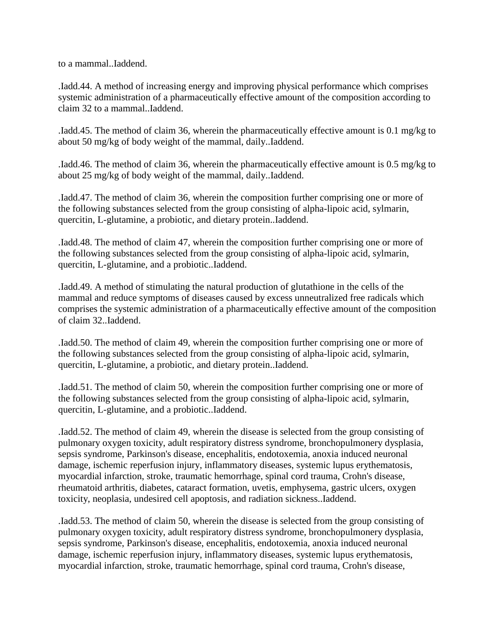to a mammal..Iaddend.

.Iadd.44. A method of increasing energy and improving physical performance which comprises systemic administration of a pharmaceutically effective amount of the composition according to claim 32 to a mammal..Iaddend.

.Iadd.45. The method of claim 36, wherein the pharmaceutically effective amount is 0.1 mg/kg to about 50 mg/kg of body weight of the mammal, daily..Iaddend.

.Iadd.46. The method of claim 36, wherein the pharmaceutically effective amount is 0.5 mg/kg to about 25 mg/kg of body weight of the mammal, daily..Iaddend.

.Iadd.47. The method of claim 36, wherein the composition further comprising one or more of the following substances selected from the group consisting of alpha-lipoic acid, sylmarin, quercitin, L-glutamine, a probiotic, and dietary protein..Iaddend.

.Iadd.48. The method of claim 47, wherein the composition further comprising one or more of the following substances selected from the group consisting of alpha-lipoic acid, sylmarin, quercitin, L-glutamine, and a probiotic..Iaddend.

.Iadd.49. A method of stimulating the natural production of glutathione in the cells of the mammal and reduce symptoms of diseases caused by excess unneutralized free radicals which comprises the systemic administration of a pharmaceutically effective amount of the composition of claim 32..Iaddend.

.Iadd.50. The method of claim 49, wherein the composition further comprising one or more of the following substances selected from the group consisting of alpha-lipoic acid, sylmarin, quercitin, L-glutamine, a probiotic, and dietary protein..Iaddend.

.Iadd.51. The method of claim 50, wherein the composition further comprising one or more of the following substances selected from the group consisting of alpha-lipoic acid, sylmarin, quercitin, L-glutamine, and a probiotic..Iaddend.

.Iadd.52. The method of claim 49, wherein the disease is selected from the group consisting of pulmonary oxygen toxicity, adult respiratory distress syndrome, bronchopulmonery dysplasia, sepsis syndrome, Parkinson's disease, encephalitis, endotoxemia, anoxia induced neuronal damage, ischemic reperfusion injury, inflammatory diseases, systemic lupus erythematosis, myocardial infarction, stroke, traumatic hemorrhage, spinal cord trauma, Crohn's disease, rheumatoid arthritis, diabetes, cataract formation, uvetis, emphysema, gastric ulcers, oxygen toxicity, neoplasia, undesired cell apoptosis, and radiation sickness..Iaddend.

.Iadd.53. The method of claim 50, wherein the disease is selected from the group consisting of pulmonary oxygen toxicity, adult respiratory distress syndrome, bronchopulmonery dysplasia, sepsis syndrome, Parkinson's disease, encephalitis, endotoxemia, anoxia induced neuronal damage, ischemic reperfusion injury, inflammatory diseases, systemic lupus erythematosis, myocardial infarction, stroke, traumatic hemorrhage, spinal cord trauma, Crohn's disease,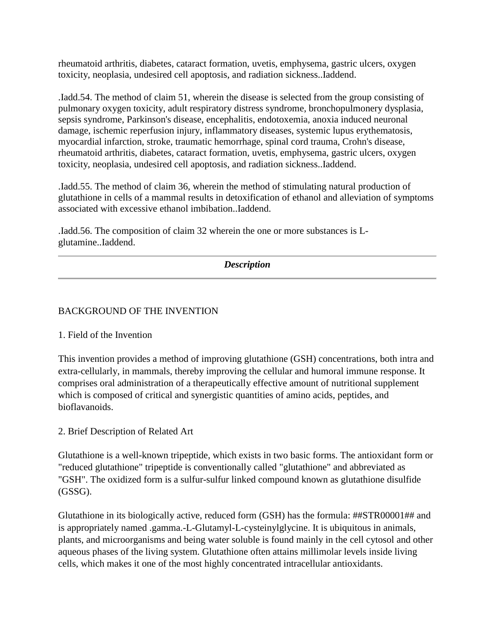rheumatoid arthritis, diabetes, cataract formation, uvetis, emphysema, gastric ulcers, oxygen toxicity, neoplasia, undesired cell apoptosis, and radiation sickness..Iaddend.

.Iadd.54. The method of claim 51, wherein the disease is selected from the group consisting of pulmonary oxygen toxicity, adult respiratory distress syndrome, bronchopulmonery dysplasia, sepsis syndrome, Parkinson's disease, encephalitis, endotoxemia, anoxia induced neuronal damage, ischemic reperfusion injury, inflammatory diseases, systemic lupus erythematosis, myocardial infarction, stroke, traumatic hemorrhage, spinal cord trauma, Crohn's disease, rheumatoid arthritis, diabetes, cataract formation, uvetis, emphysema, gastric ulcers, oxygen toxicity, neoplasia, undesired cell apoptosis, and radiation sickness..Iaddend.

.Iadd.55. The method of claim 36, wherein the method of stimulating natural production of glutathione in cells of a mammal results in detoxification of ethanol and alleviation of symptoms associated with excessive ethanol imbibation..Iaddend.

.Iadd.56. The composition of claim 32 wherein the one or more substances is Lglutamine..Iaddend.

*Description*

# BACKGROUND OF THE INVENTION

## 1. Field of the Invention

This invention provides a method of improving glutathione (GSH) concentrations, both intra and extra-cellularly, in mammals, thereby improving the cellular and humoral immune response. It comprises oral administration of a therapeutically effective amount of nutritional supplement which is composed of critical and synergistic quantities of amino acids, peptides, and bioflavanoids.

2. Brief Description of Related Art

Glutathione is a well-known tripeptide, which exists in two basic forms. The antioxidant form or "reduced glutathione" tripeptide is conventionally called "glutathione" and abbreviated as "GSH". The oxidized form is a sulfur-sulfur linked compound known as glutathione disulfide (GSSG).

Glutathione in its biologically active, reduced form (GSH) has the formula: ##STR00001## and is appropriately named .gamma.-L-Glutamyl-L-cysteinylglycine. It is ubiquitous in animals, plants, and microorganisms and being water soluble is found mainly in the cell cytosol and other aqueous phases of the living system. Glutathione often attains millimolar levels inside living cells, which makes it one of the most highly concentrated intracellular antioxidants.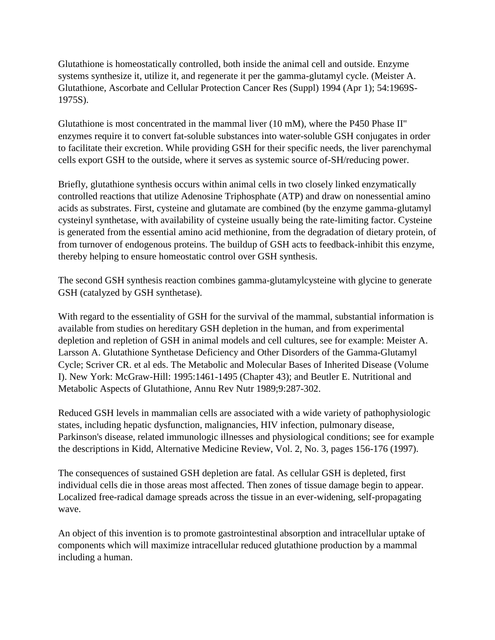Glutathione is homeostatically controlled, both inside the animal cell and outside. Enzyme systems synthesize it, utilize it, and regenerate it per the gamma-glutamyl cycle. (Meister A. Glutathione, Ascorbate and Cellular Protection Cancer Res (Suppl) 1994 (Apr 1); 54:1969S-1975S).

Glutathione is most concentrated in the mammal liver (10 mM), where the P450 Phase II" enzymes require it to convert fat-soluble substances into water-soluble GSH conjugates in order to facilitate their excretion. While providing GSH for their specific needs, the liver parenchymal cells export GSH to the outside, where it serves as systemic source of-SH/reducing power.

Briefly, glutathione synthesis occurs within animal cells in two closely linked enzymatically controlled reactions that utilize Adenosine Triphosphate (ATP) and draw on nonessential amino acids as substrates. First, cysteine and glutamate are combined (by the enzyme gamma-glutamyl cysteinyl synthetase, with availability of cysteine usually being the rate-limiting factor. Cysteine is generated from the essential amino acid methionine, from the degradation of dietary protein, of from turnover of endogenous proteins. The buildup of GSH acts to feedback-inhibit this enzyme, thereby helping to ensure homeostatic control over GSH synthesis.

The second GSH synthesis reaction combines gamma-glutamylcysteine with glycine to generate GSH (catalyzed by GSH synthetase).

With regard to the essentiality of GSH for the survival of the mammal, substantial information is available from studies on hereditary GSH depletion in the human, and from experimental depletion and repletion of GSH in animal models and cell cultures, see for example: Meister A. Larsson A. Glutathione Synthetase Deficiency and Other Disorders of the Gamma-Glutamyl Cycle; Scriver CR. et al eds. The Metabolic and Molecular Bases of Inherited Disease (Volume I). New York: McGraw-Hill: 1995:1461-1495 (Chapter 43); and Beutler E. Nutritional and Metabolic Aspects of Glutathione, Annu Rev Nutr 1989;9:287-302.

Reduced GSH levels in mammalian cells are associated with a wide variety of pathophysiologic states, including hepatic dysfunction, malignancies, HIV infection, pulmonary disease, Parkinson's disease, related immunologic illnesses and physiological conditions; see for example the descriptions in Kidd, Alternative Medicine Review, Vol. 2, No. 3, pages 156-176 (1997).

The consequences of sustained GSH depletion are fatal. As cellular GSH is depleted, first individual cells die in those areas most affected. Then zones of tissue damage begin to appear. Localized free-radical damage spreads across the tissue in an ever-widening, self-propagating wave.

An object of this invention is to promote gastrointestinal absorption and intracellular uptake of components which will maximize intracellular reduced glutathione production by a mammal including a human.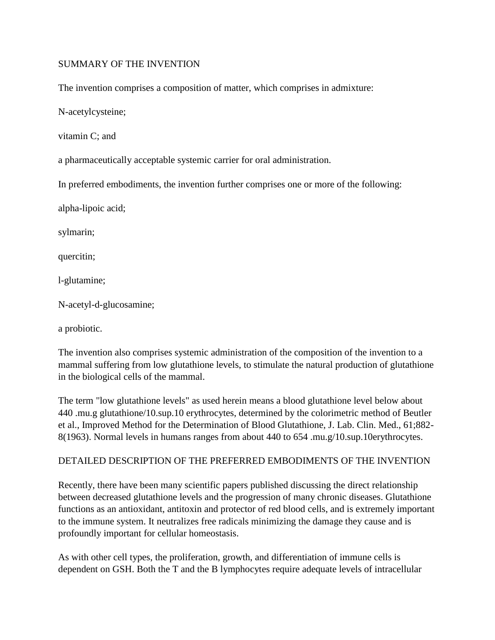### SUMMARY OF THE INVENTION

The invention comprises a composition of matter, which comprises in admixture:

N-acetylcysteine;

vitamin C; and

a pharmaceutically acceptable systemic carrier for oral administration.

In preferred embodiments, the invention further comprises one or more of the following:

alpha-lipoic acid;

sylmarin;

quercitin;

l-glutamine;

N-acetyl-d-glucosamine;

a probiotic.

The invention also comprises systemic administration of the composition of the invention to a mammal suffering from low glutathione levels, to stimulate the natural production of glutathione in the biological cells of the mammal.

The term "low glutathione levels" as used herein means a blood glutathione level below about 440 .mu.g glutathione/10.sup.10 erythrocytes, determined by the colorimetric method of Beutler et al., Improved Method for the Determination of Blood Glutathione, J. Lab. Clin. Med., 61;882- 8(1963). Normal levels in humans ranges from about 440 to 654 .mu.g/10.sup.10erythrocytes.

#### DETAILED DESCRIPTION OF THE PREFERRED EMBODIMENTS OF THE INVENTION

Recently, there have been many scientific papers published discussing the direct relationship between decreased glutathione levels and the progression of many chronic diseases. Glutathione functions as an antioxidant, antitoxin and protector of red blood cells, and is extremely important to the immune system. It neutralizes free radicals minimizing the damage they cause and is profoundly important for cellular homeostasis.

As with other cell types, the proliferation, growth, and differentiation of immune cells is dependent on GSH. Both the T and the B lymphocytes require adequate levels of intracellular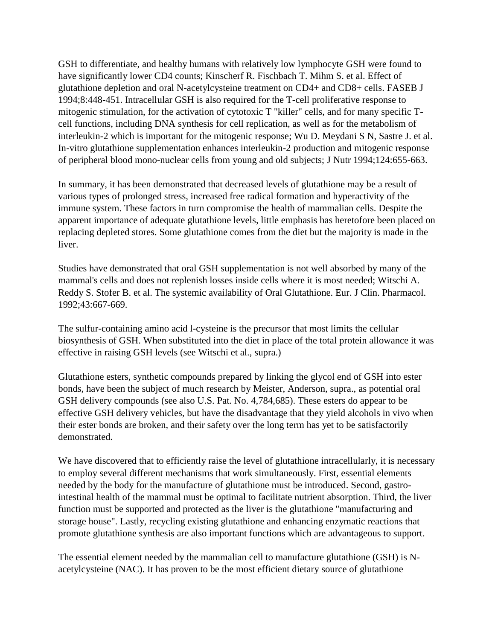GSH to differentiate, and healthy humans with relatively low lymphocyte GSH were found to have significantly lower CD4 counts; Kinscherf R. Fischbach T. Mihm S. et al. Effect of glutathione depletion and oral N-acetylcysteine treatment on CD4+ and CD8+ cells. FASEB J 1994;8:448-451. Intracellular GSH is also required for the T-cell proliferative response to mitogenic stimulation, for the activation of cytotoxic T "killer" cells, and for many specific Tcell functions, including DNA synthesis for cell replication, as well as for the metabolism of interleukin-2 which is important for the mitogenic response; Wu D. Meydani S N, Sastre J. et al. In-vitro glutathione supplementation enhances interleukin-2 production and mitogenic response of peripheral blood mono-nuclear cells from young and old subjects; J Nutr 1994;124:655-663.

In summary, it has been demonstrated that decreased levels of glutathione may be a result of various types of prolonged stress, increased free radical formation and hyperactivity of the immune system. These factors in turn compromise the health of mammalian cells. Despite the apparent importance of adequate glutathione levels, little emphasis has heretofore been placed on replacing depleted stores. Some glutathione comes from the diet but the majority is made in the liver.

Studies have demonstrated that oral GSH supplementation is not well absorbed by many of the mammal's cells and does not replenish losses inside cells where it is most needed; Witschi A. Reddy S. Stofer B. et al. The systemic availability of Oral Glutathione. Eur. J Clin. Pharmacol. 1992;43:667-669.

The sulfur-containing amino acid l-cysteine is the precursor that most limits the cellular biosynthesis of GSH. When substituted into the diet in place of the total protein allowance it was effective in raising GSH levels (see Witschi et al., supra.)

Glutathione esters, synthetic compounds prepared by linking the glycol end of GSH into ester bonds, have been the subject of much research by Meister, Anderson, supra., as potential oral GSH delivery compounds (see also U.S. Pat. No. 4,784,685). These esters do appear to be effective GSH delivery vehicles, but have the disadvantage that they yield alcohols in vivo when their ester bonds are broken, and their safety over the long term has yet to be satisfactorily demonstrated.

We have discovered that to efficiently raise the level of glutathione intracellularly, it is necessary to employ several different mechanisms that work simultaneously. First, essential elements needed by the body for the manufacture of glutathione must be introduced. Second, gastrointestinal health of the mammal must be optimal to facilitate nutrient absorption. Third, the liver function must be supported and protected as the liver is the glutathione "manufacturing and storage house". Lastly, recycling existing glutathione and enhancing enzymatic reactions that promote glutathione synthesis are also important functions which are advantageous to support.

The essential element needed by the mammalian cell to manufacture glutathione (GSH) is Nacetylcysteine (NAC). It has proven to be the most efficient dietary source of glutathione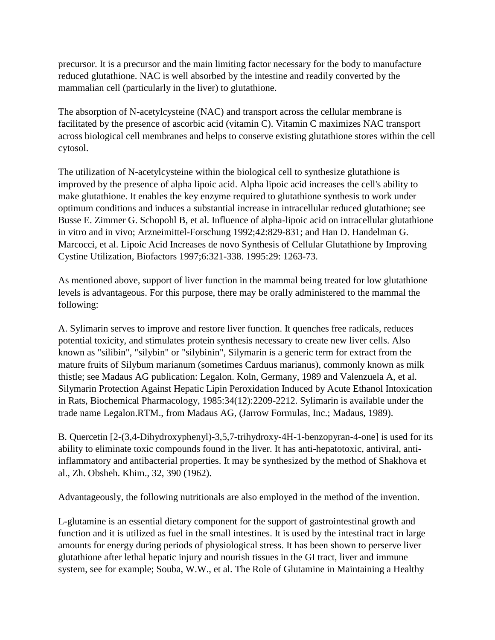precursor. It is a precursor and the main limiting factor necessary for the body to manufacture reduced glutathione. NAC is well absorbed by the intestine and readily converted by the mammalian cell (particularly in the liver) to glutathione.

The absorption of N-acetylcysteine (NAC) and transport across the cellular membrane is facilitated by the presence of ascorbic acid (vitamin C). Vitamin C maximizes NAC transport across biological cell membranes and helps to conserve existing glutathione stores within the cell cytosol.

The utilization of N-acetylcysteine within the biological cell to synthesize glutathione is improved by the presence of alpha lipoic acid. Alpha lipoic acid increases the cell's ability to make glutathione. It enables the key enzyme required to glutathione synthesis to work under optimum conditions and induces a substantial increase in intracellular reduced glutathione; see Busse E. Zimmer G. Schopohl B, et al. Influence of alpha-lipoic acid on intracellular glutathione in vitro and in vivo; Arzneimittel-Forschung 1992;42:829-831; and Han D. Handelman G. Marcocci, et al. Lipoic Acid Increases de novo Synthesis of Cellular Glutathione by Improving Cystine Utilization, Biofactors 1997;6:321-338. 1995:29: 1263-73.

As mentioned above, support of liver function in the mammal being treated for low glutathione levels is advantageous. For this purpose, there may be orally administered to the mammal the following:

A. Sylimarin serves to improve and restore liver function. It quenches free radicals, reduces potential toxicity, and stimulates protein synthesis necessary to create new liver cells. Also known as "silibin", "silybin" or "silybinin", Silymarin is a generic term for extract from the mature fruits of Silybum marianum (sometimes Carduus marianus), commonly known as milk thistle; see Madaus AG publication: Legalon. Koln, Germany, 1989 and Valenzuela A, et al. Silymarin Protection Against Hepatic Lipin Peroxidation Induced by Acute Ethanol Intoxication in Rats, Biochemical Pharmacology, 1985:34(12):2209-2212. Sylimarin is available under the trade name Legalon.RTM., from Madaus AG, (Jarrow Formulas, Inc.; Madaus, 1989).

B. Quercetin [2-(3,4-Dihydroxyphenyl)-3,5,7-trihydroxy-4H-1-benzopyran-4-one] is used for its ability to eliminate toxic compounds found in the liver. It has anti-hepatotoxic, antiviral, antiinflammatory and antibacterial properties. It may be synthesized by the method of Shakhova et al., Zh. Obsheh. Khim., 32, 390 (1962).

Advantageously, the following nutritionals are also employed in the method of the invention.

L-glutamine is an essential dietary component for the support of gastrointestinal growth and function and it is utilized as fuel in the small intestines. It is used by the intestinal tract in large amounts for energy during periods of physiological stress. It has been shown to perserve liver glutathione after lethal hepatic injury and nourish tissues in the GI tract, liver and immune system, see for example; Souba, W.W., et al. The Role of Glutamine in Maintaining a Healthy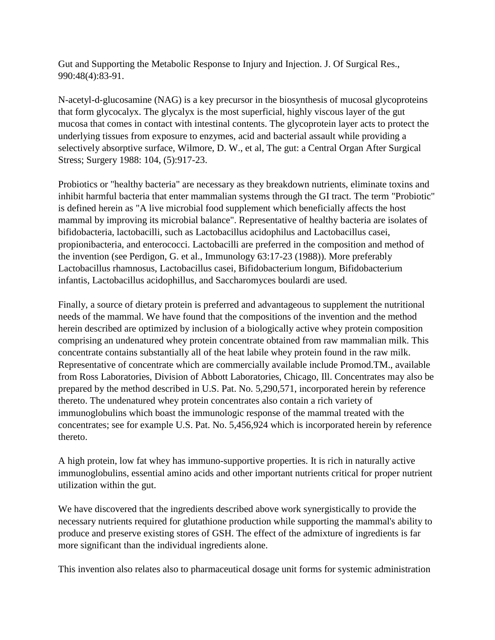Gut and Supporting the Metabolic Response to Injury and Injection. J. Of Surgical Res., 990:48(4):83-91.

N-acetyl-d-glucosamine (NAG) is a key precursor in the biosynthesis of mucosal glycoproteins that form glycocalyx. The glycalyx is the most superficial, highly viscous layer of the gut mucosa that comes in contact with intestinal contents. The glycoprotein layer acts to protect the underlying tissues from exposure to enzymes, acid and bacterial assault while providing a selectively absorptive surface, Wilmore, D. W., et al, The gut: a Central Organ After Surgical Stress; Surgery 1988: 104, (5):917-23.

Probiotics or "healthy bacteria" are necessary as they breakdown nutrients, eliminate toxins and inhibit harmful bacteria that enter mammalian systems through the GI tract. The term "Probiotic" is defined herein as "A live microbial food supplement which beneficially affects the host mammal by improving its microbial balance". Representative of healthy bacteria are isolates of bifidobacteria, lactobacilli, such as Lactobacillus acidophilus and Lactobacillus casei, propionibacteria, and enterococci. Lactobacilli are preferred in the composition and method of the invention (see Perdigon, G. et al., Immunology 63:17-23 (1988)). More preferably Lactobacillus rhamnosus, Lactobacillus casei, Bifidobacterium longum, Bifidobacterium infantis, Lactobacillus acidophillus, and Saccharomyces boulardi are used.

Finally, a source of dietary protein is preferred and advantageous to supplement the nutritional needs of the mammal. We have found that the compositions of the invention and the method herein described are optimized by inclusion of a biologically active whey protein composition comprising an undenatured whey protein concentrate obtained from raw mammalian milk. This concentrate contains substantially all of the heat labile whey protein found in the raw milk. Representative of concentrate which are commercially available include Promod.TM., available from Ross Laboratories, Division of Abbott Laboratories, Chicago, Ill. Concentrates may also be prepared by the method described in U.S. Pat. No. 5,290,571, incorporated herein by reference thereto. The undenatured whey protein concentrates also contain a rich variety of immunoglobulins which boast the immunologic response of the mammal treated with the concentrates; see for example U.S. Pat. No. 5,456,924 which is incorporated herein by reference thereto.

A high protein, low fat whey has immuno-supportive properties. It is rich in naturally active immunoglobulins, essential amino acids and other important nutrients critical for proper nutrient utilization within the gut.

We have discovered that the ingredients described above work synergistically to provide the necessary nutrients required for glutathione production while supporting the mammal's ability to produce and preserve existing stores of GSH. The effect of the admixture of ingredients is far more significant than the individual ingredients alone.

This invention also relates also to pharmaceutical dosage unit forms for systemic administration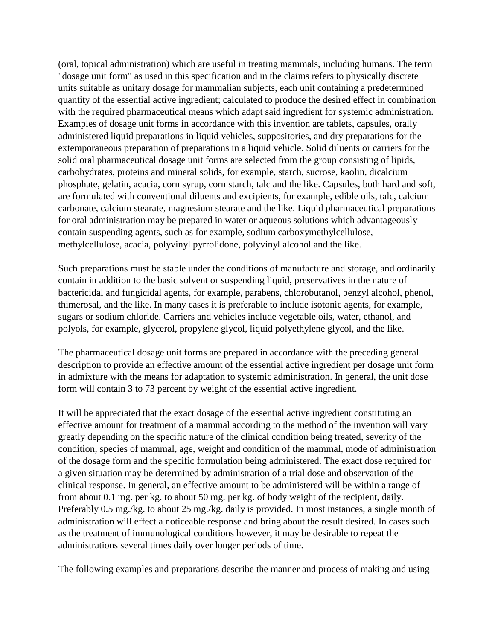(oral, topical administration) which are useful in treating mammals, including humans. The term "dosage unit form" as used in this specification and in the claims refers to physically discrete units suitable as unitary dosage for mammalian subjects, each unit containing a predetermined quantity of the essential active ingredient; calculated to produce the desired effect in combination with the required pharmaceutical means which adapt said ingredient for systemic administration. Examples of dosage unit forms in accordance with this invention are tablets, capsules, orally administered liquid preparations in liquid vehicles, suppositories, and dry preparations for the extemporaneous preparation of preparations in a liquid vehicle. Solid diluents or carriers for the solid oral pharmaceutical dosage unit forms are selected from the group consisting of lipids, carbohydrates, proteins and mineral solids, for example, starch, sucrose, kaolin, dicalcium phosphate, gelatin, acacia, corn syrup, corn starch, talc and the like. Capsules, both hard and soft, are formulated with conventional diluents and excipients, for example, edible oils, talc, calcium carbonate, calcium stearate, magnesium stearate and the like. Liquid pharmaceutical preparations for oral administration may be prepared in water or aqueous solutions which advantageously contain suspending agents, such as for example, sodium carboxymethylcellulose, methylcellulose, acacia, polyvinyl pyrrolidone, polyvinyl alcohol and the like.

Such preparations must be stable under the conditions of manufacture and storage, and ordinarily contain in addition to the basic solvent or suspending liquid, preservatives in the nature of bactericidal and fungicidal agents, for example, parabens, chlorobutanol, benzyl alcohol, phenol, thimerosal, and the like. In many cases it is preferable to include isotonic agents, for example, sugars or sodium chloride. Carriers and vehicles include vegetable oils, water, ethanol, and polyols, for example, glycerol, propylene glycol, liquid polyethylene glycol, and the like.

The pharmaceutical dosage unit forms are prepared in accordance with the preceding general description to provide an effective amount of the essential active ingredient per dosage unit form in admixture with the means for adaptation to systemic administration. In general, the unit dose form will contain 3 to 73 percent by weight of the essential active ingredient.

It will be appreciated that the exact dosage of the essential active ingredient constituting an effective amount for treatment of a mammal according to the method of the invention will vary greatly depending on the specific nature of the clinical condition being treated, severity of the condition, species of mammal, age, weight and condition of the mammal, mode of administration of the dosage form and the specific formulation being administered. The exact dose required for a given situation may be determined by administration of a trial dose and observation of the clinical response. In general, an effective amount to be administered will be within a range of from about 0.1 mg. per kg. to about 50 mg. per kg. of body weight of the recipient, daily. Preferably 0.5 mg./kg. to about 25 mg./kg. daily is provided. In most instances, a single month of administration will effect a noticeable response and bring about the result desired. In cases such as the treatment of immunological conditions however, it may be desirable to repeat the administrations several times daily over longer periods of time.

The following examples and preparations describe the manner and process of making and using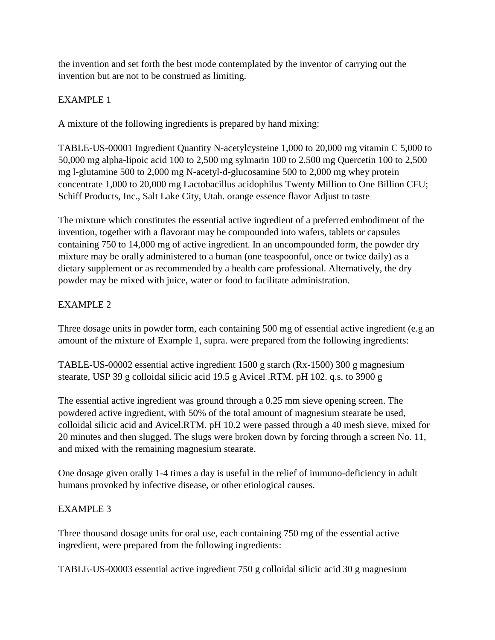the invention and set forth the best mode contemplated by the inventor of carrying out the invention but are not to be construed as limiting.

## EXAMPLE 1

A mixture of the following ingredients is prepared by hand mixing:

TABLE-US-00001 Ingredient Quantity N-acetylcysteine 1,000 to 20,000 mg vitamin C 5,000 to 50,000 mg alpha-lipoic acid 100 to 2,500 mg sylmarin 100 to 2,500 mg Quercetin 100 to 2,500 mg l-glutamine 500 to 2,000 mg N-acetyl-d-glucosamine 500 to 2,000 mg whey protein concentrate 1,000 to 20,000 mg Lactobacillus acidophilus Twenty Million to One Billion CFU; Schiff Products, Inc., Salt Lake City, Utah. orange essence flavor Adjust to taste

The mixture which constitutes the essential active ingredient of a preferred embodiment of the invention, together with a flavorant may be compounded into wafers, tablets or capsules containing 750 to 14,000 mg of active ingredient. In an uncompounded form, the powder dry mixture may be orally administered to a human (one teaspoonful, once or twice daily) as a dietary supplement or as recommended by a health care professional. Alternatively, the dry powder may be mixed with juice, water or food to facilitate administration.

## EXAMPLE 2

Three dosage units in powder form, each containing 500 mg of essential active ingredient (e.g an amount of the mixture of Example 1, supra. were prepared from the following ingredients:

TABLE-US-00002 essential active ingredient 1500 g starch (Rx-1500) 300 g magnesium stearate, USP 39 g colloidal silicic acid 19.5 g Avicel .RTM. pH 102. q.s. to 3900 g

The essential active ingredient was ground through a 0.25 mm sieve opening screen. The powdered active ingredient, with 50% of the total amount of magnesium stearate be used, colloidal silicic acid and Avicel.RTM. pH 10.2 were passed through a 40 mesh sieve, mixed for 20 minutes and then slugged. The slugs were broken down by forcing through a screen No. 11, and mixed with the remaining magnesium stearate.

One dosage given orally 1-4 times a day is useful in the relief of immuno-deficiency in adult humans provoked by infective disease, or other etiological causes.

### EXAMPLE 3

Three thousand dosage units for oral use, each containing 750 mg of the essential active ingredient, were prepared from the following ingredients:

TABLE-US-00003 essential active ingredient 750 g colloidal silicic acid 30 g magnesium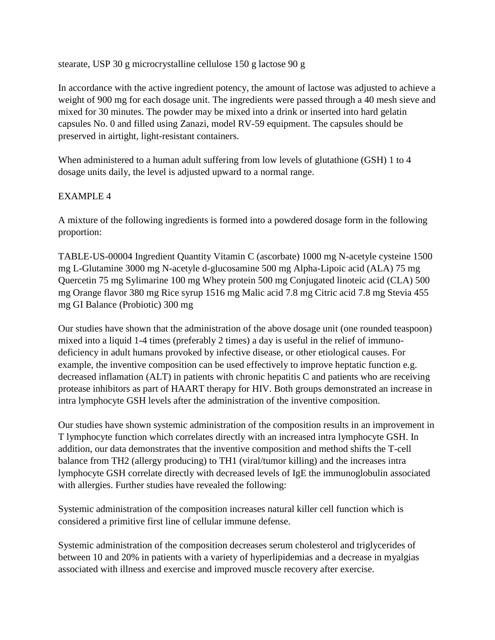stearate, USP 30 g microcrystalline cellulose 150 g lactose 90 g

In accordance with the active ingredient potency, the amount of lactose was adjusted to achieve a weight of 900 mg for each dosage unit. The ingredients were passed through a 40 mesh sieve and mixed for 30 minutes. The powder may be mixed into a drink or inserted into hard gelatin capsules No. 0 and filled using Zanazi, model RV-59 equipment. The capsules should be preserved in airtight, light-resistant containers.

When administered to a human adult suffering from low levels of glutathione (GSH) 1 to 4 dosage units daily, the level is adjusted upward to a normal range.

### EXAMPLE 4

A mixture of the following ingredients is formed into a powdered dosage form in the following proportion:

TABLE-US-00004 Ingredient Quantity Vitamin C (ascorbate) 1000 mg N-acetyle cysteine 1500 mg L-Glutamine 3000 mg N-acetyle d-glucosamine 500 mg Alpha-Lipoic acid (ALA) 75 mg Quercetin 75 mg Sylimarine 100 mg Whey protein 500 mg Conjugated linoteic acid (CLA) 500 mg Orange flavor 380 mg Rice syrup 1516 mg Malic acid 7.8 mg Citric acid 7.8 mg Stevia 455 mg GI Balance (Probiotic) 300 mg

Our studies have shown that the administration of the above dosage unit (one rounded teaspoon) mixed into a liquid 1-4 times (preferably 2 times) a day is useful in the relief of immunodeficiency in adult humans provoked by infective disease, or other etiological causes. For example, the inventive composition can be used effectively to improve heptatic function e.g. decreased inflamation (ALT) in patients with chronic hepatitis C and patients who are receiving protease inhibitors as part of HAART therapy for HIV. Both groups demonstrated an increase in intra lymphocyte GSH levels after the administration of the inventive composition.

Our studies have shown systemic administration of the composition results in an improvement in T lymphocyte function which correlates directly with an increased intra lymphocyte GSH. In addition, our data demonstrates that the inventive composition and method shifts the T-cell balance from TH2 (allergy producing) to TH1 (viral/tumor killing) and the increases intra lymphocyte GSH correlate directly with decreased levels of IgE the immunoglobulin associated with allergies. Further studies have revealed the following:

Systemic administration of the composition increases natural killer cell function which is considered a primitive first line of cellular immune defense.

Systemic administration of the composition decreases serum cholesterol and triglycerides of between 10 and 20% in patients with a variety of hyperlipidemias and a decrease in myalgias associated with illness and exercise and improved muscle recovery after exercise.